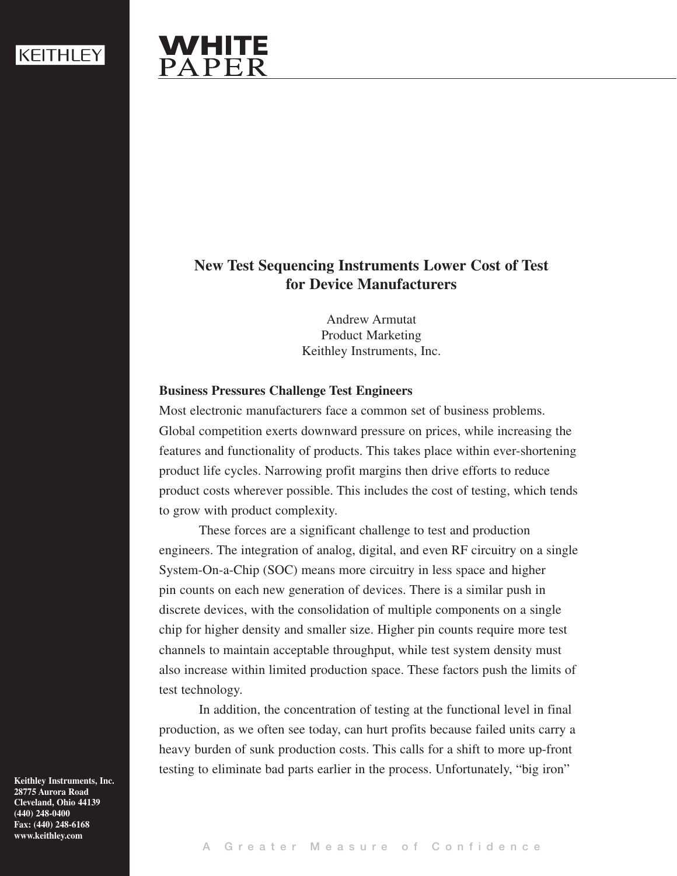# WHITE PAPER

# **New Test Sequencing Instruments Lower Cost of Test for Device Manufacturers**

Andrew Armutat Product Marketing Keithley Instruments, Inc.

## **Business Pressures Challenge Test Engineers**

Most electronic manufacturers face a common set of business problems. Global competition exerts downward pressure on prices, while increasing the features and functionality of products. This takes place within ever-shortening product life cycles. Narrowing profit margins then drive efforts to reduce product costs wherever possible. This includes the cost of testing, which tends to grow with product complexity.

These forces are a significant challenge to test and production engineers. The integration of analog, digital, and even RF circuitry on a single System-On-a-Chip (SOC) means more circuitry in less space and higher pin counts on each new generation of devices. There is a similar push in discrete devices, with the consolidation of multiple components on a single chip for higher density and smaller size. Higher pin counts require more test channels to maintain acceptable throughput, while test system density must also increase within limited production space. These factors push the limits of test technology.

In addition, the concentration of testing at the functional level in final production, as we often see today, can hurt profits because failed units carry a heavy burden of sunk production costs. This calls for a shift to more up-front testing to eliminate bad parts earlier in the process. Unfortunately, "big iron"

**Keithley Instruments, Inc. 28775 Aurora Road Cleveland, Ohio 44139 (440) 248-0400 Fax: (440) 248-6168 www.keithley.com**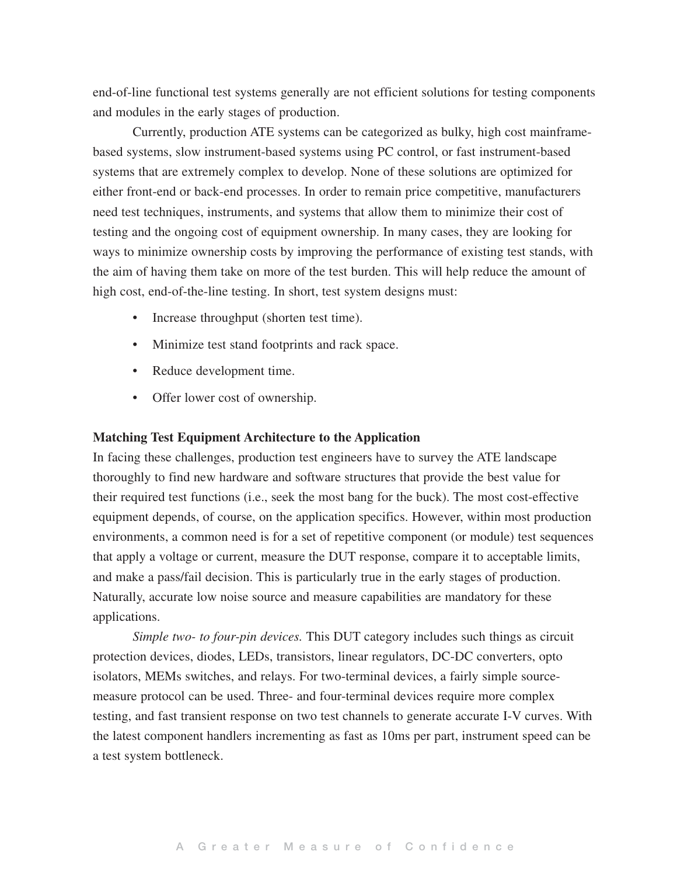end-of-line functional test systems generally are not efficient solutions for testing components and modules in the early stages of production.

Currently, production ATE systems can be categorized as bulky, high cost mainframebased systems, slow instrument-based systems using PC control, or fast instrument-based systems that are extremely complex to develop. None of these solutions are optimized for either front-end or back-end processes. In order to remain price competitive, manufacturers need test techniques, instruments, and systems that allow them to minimize their cost of testing and the ongoing cost of equipment ownership. In many cases, they are looking for ways to minimize ownership costs by improving the performance of existing test stands, with the aim of having them take on more of the test burden. This will help reduce the amount of high cost, end-of-the-line testing. In short, test system designs must:

- Increase throughput (shorten test time).
- Minimize test stand footprints and rack space.
- Reduce development time.
- Offer lower cost of ownership.

#### **Matching Test Equipment Architecture to the Application**

In facing these challenges, production test engineers have to survey the ATE landscape thoroughly to find new hardware and software structures that provide the best value for their required test functions (i.e., seek the most bang for the buck). The most cost-effective equipment depends, of course, on the application specifics. However, within most production environments, a common need is for a set of repetitive component (or module) test sequences that apply a voltage or current, measure the DUT response, compare it to acceptable limits, and make a pass/fail decision. This is particularly true in the early stages of production. Naturally, accurate low noise source and measure capabilities are mandatory for these applications.

*Simple two- to four-pin devices.* This DUT category includes such things as circuit protection devices, diodes, LEDs, transistors, linear regulators, DC-DC converters, opto isolators, MEMs switches, and relays. For two-terminal devices, a fairly simple sourcemeasure protocol can be used. Three- and four-terminal devices require more complex testing, and fast transient response on two test channels to generate accurate I-V curves. With the latest component handlers incrementing as fast as 10ms per part, instrument speed can be a test system bottleneck.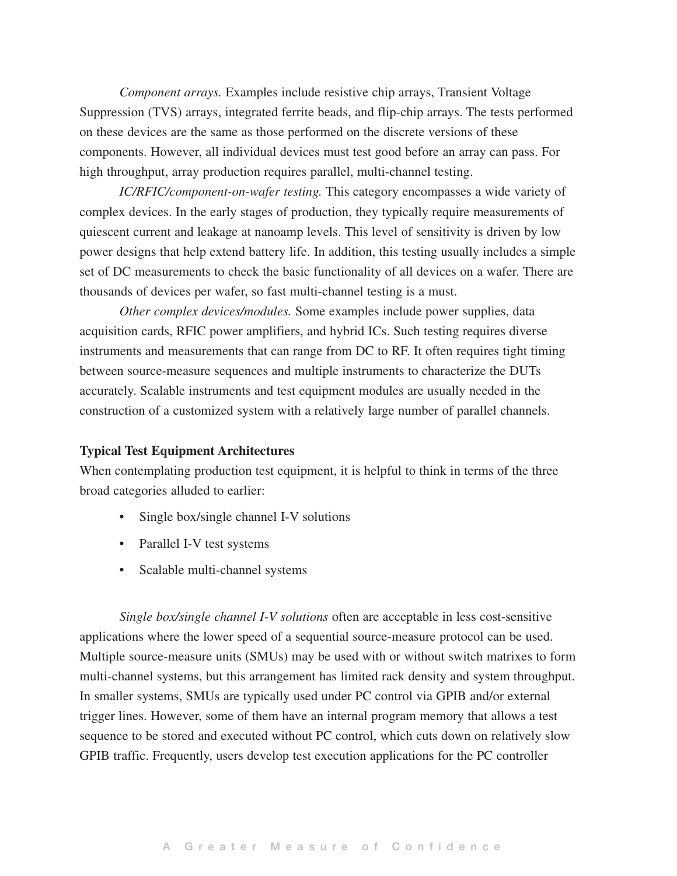*Component arrays.* Examples include resistive chip arrays, Transient Voltage Suppression (TVS) arrays, integrated ferrite beads, and flip-chip arrays. The tests performed on these devices are the same as those performed on the discrete versions of these components. However, all individual devices must test good before an array can pass. For high throughput, array production requires parallel, multi-channel testing.

*IC/RFIC/component-on-wafer testing.* This category encompasses a wide variety of complex devices. In the early stages of production, they typically require measurements of quiescent current and leakage at nanoamp levels. This level of sensitivity is driven by low power designs that help extend battery life. In addition, this testing usually includes a simple set of DC measurements to check the basic functionality of all devices on a wafer. There are thousands of devices per wafer, so fast multi-channel testing is a must.

*Other complex devices/modules.* Some examples include power supplies, data acquisition cards, RFIC power amplifiers, and hybrid ICs. Such testing requires diverse instruments and measurements that can range from DC to RF. It often requires tight timing between source-measure sequences and multiple instruments to characterize the DUTs accurately. Scalable instruments and test equipment modules are usually needed in the construction of a customized system with a relatively large number of parallel channels.

#### **Typical Test Equipment Architectures**

When contemplating production test equipment, it is helpful to think in terms of the three broad categories alluded to earlier:

- Single box/single channel I-V solutions
- Parallel I-V test systems
- Scalable multi-channel systems

*Single box/single channel I-V solutions* often are acceptable in less cost-sensitive applications where the lower speed of a sequential source-measure protocol can be used. Multiple source-measure units (SMUs) may be used with or without switch matrixes to form multi-channel systems, but this arrangement has limited rack density and system throughput. In smaller systems, SMUs are typically used under PC control via GPIB and/or external trigger lines. However, some of them have an internal program memory that allows a test sequence to be stored and executed without PC control, which cuts down on relatively slow GPIB traffic. Frequently, users develop test execution applications for the PC controller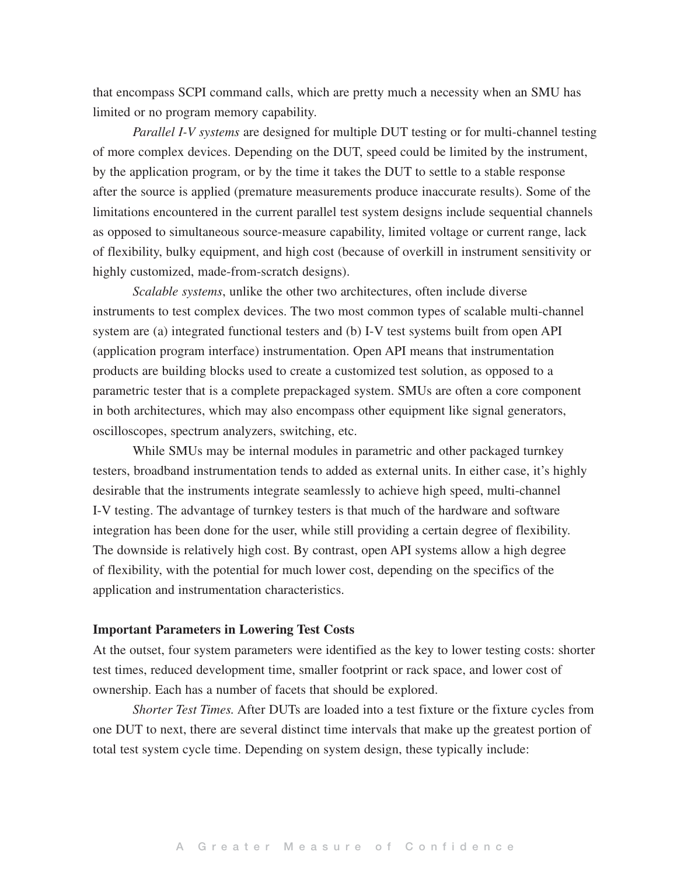that encompass SCPI command calls, which are pretty much a necessity when an SMU has limited or no program memory capability.

*Parallel I-V systems* are designed for multiple DUT testing or for multi-channel testing of more complex devices. Depending on the DUT, speed could be limited by the instrument, by the application program, or by the time it takes the DUT to settle to a stable response after the source is applied (premature measurements produce inaccurate results). Some of the limitations encountered in the current parallel test system designs include sequential channels as opposed to simultaneous source-measure capability, limited voltage or current range, lack of flexibility, bulky equipment, and high cost (because of overkill in instrument sensitivity or highly customized, made-from-scratch designs).

*Scalable systems*, unlike the other two architectures, often include diverse instruments to test complex devices. The two most common types of scalable multi-channel system are (a) integrated functional testers and (b) I-V test systems built from open API (application program interface) instrumentation. Open API means that instrumentation products are building blocks used to create a customized test solution, as opposed to a parametric tester that is a complete prepackaged system. SMUs are often a core component in both architectures, which may also encompass other equipment like signal generators, oscilloscopes, spectrum analyzers, switching, etc.

While SMUs may be internal modules in parametric and other packaged turnkey testers, broadband instrumentation tends to added as external units. In either case, it's highly desirable that the instruments integrate seamlessly to achieve high speed, multi-channel I-V testing. The advantage of turnkey testers is that much of the hardware and software integration has been done for the user, while still providing a certain degree of flexibility. The downside is relatively high cost. By contrast, open API systems allow a high degree of flexibility, with the potential for much lower cost, depending on the specifics of the application and instrumentation characteristics.

#### **Important Parameters in Lowering Test Costs**

At the outset, four system parameters were identified as the key to lower testing costs: shorter test times, reduced development time, smaller footprint or rack space, and lower cost of ownership. Each has a number of facets that should be explored.

*Shorter Test Times.* After DUTs are loaded into a test fixture or the fixture cycles from one DUT to next, there are several distinct time intervals that make up the greatest portion of total test system cycle time. Depending on system design, these typically include: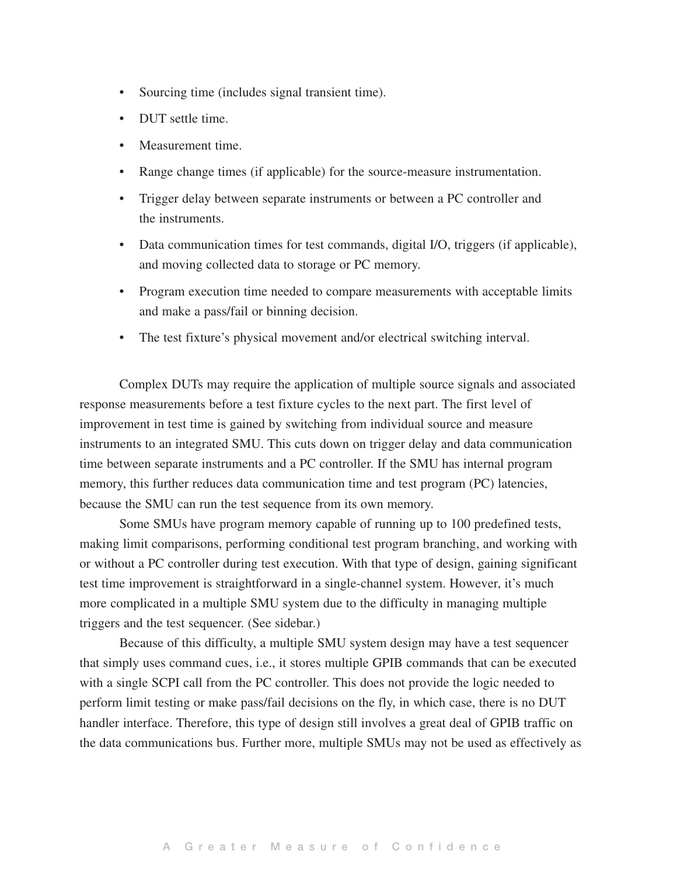- Sourcing time (includes signal transient time).
- DUT settle time.
- Measurement time.
- • Range change times (if applicable) for the source-measure instrumentation.
- Trigger delay between separate instruments or between a PC controller and the instruments.
- Data communication times for test commands, digital I/O, triggers (if applicable), and moving collected data to storage or PC memory.
- Program execution time needed to compare measurements with acceptable limits and make a pass/fail or binning decision.
- The test fixture's physical movement and/or electrical switching interval.

Complex DUTs may require the application of multiple source signals and associated response measurements before a test fixture cycles to the next part. The first level of improvement in test time is gained by switching from individual source and measure instruments to an integrated SMU. This cuts down on trigger delay and data communication time between separate instruments and a PC controller. If the SMU has internal program memory, this further reduces data communication time and test program (PC) latencies, because the SMU can run the test sequence from its own memory.

Some SMUs have program memory capable of running up to 100 predefined tests, making limit comparisons, performing conditional test program branching, and working with or without a PC controller during test execution. With that type of design, gaining significant test time improvement is straightforward in a single-channel system. However, it's much more complicated in a multiple SMU system due to the difficulty in managing multiple triggers and the test sequencer. (See sidebar.)

Because of this difficulty, a multiple SMU system design may have a test sequencer that simply uses command cues, i.e., it stores multiple GPIB commands that can be executed with a single SCPI call from the PC controller. This does not provide the logic needed to perform limit testing or make pass/fail decisions on the fly, in which case, there is no DUT handler interface. Therefore, this type of design still involves a great deal of GPIB traffic on the data communications bus. Further more, multiple SMUs may not be used as effectively as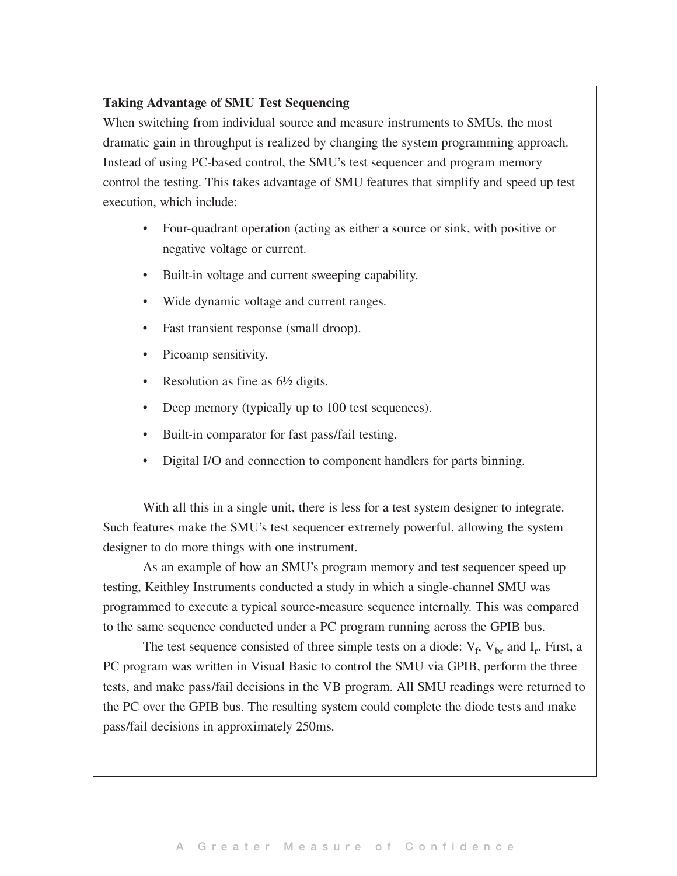### **Taking Advantage of SMU Test Sequencing**

When switching from individual source and measure instruments to SMUs, the most dramatic gain in throughput is realized by changing the system programming approach. Instead of using PC-based control, the SMU's test sequencer and program memory control the testing. This takes advantage of SMU features that simplify and speed up test execution, which include:

- Four-quadrant operation (acting as either a source or sink, with positive or negative voltage or current.
- • Built-in voltage and current sweeping capability.
- Wide dynamic voltage and current ranges.
- Fast transient response (small droop).
- Picoamp sensitivity.
- Resolution as fine as  $6\frac{1}{2}$  digits.
- Deep memory (typically up to 100 test sequences).
- Built-in comparator for fast pass/fail testing.
- Digital I/O and connection to component handlers for parts binning.

With all this in a single unit, there is less for a test system designer to integrate. Such features make the SMU's test sequencer extremely powerful, allowing the system designer to do more things with one instrument.

As an example of how an SMU's program memory and test sequencer speed up testing, Keithley Instruments conducted a study in which a single-channel SMU was programmed to execute a typical source-measure sequence internally. This was compared to the same sequence conducted under a PC program running across the GPIB bus.

The test sequence consisted of three simple tests on a diode:  $V_f$ ,  $V_{br}$  and  $I_r$ . First, a PC program was written in Visual Basic to control the SMU via GPIB, perform the three tests, and make pass/fail decisions in the VB program. All SMU readings were returned to the PC over the GPIB bus. The resulting system could complete the diode tests and make pass/fail decisions in approximately 250ms.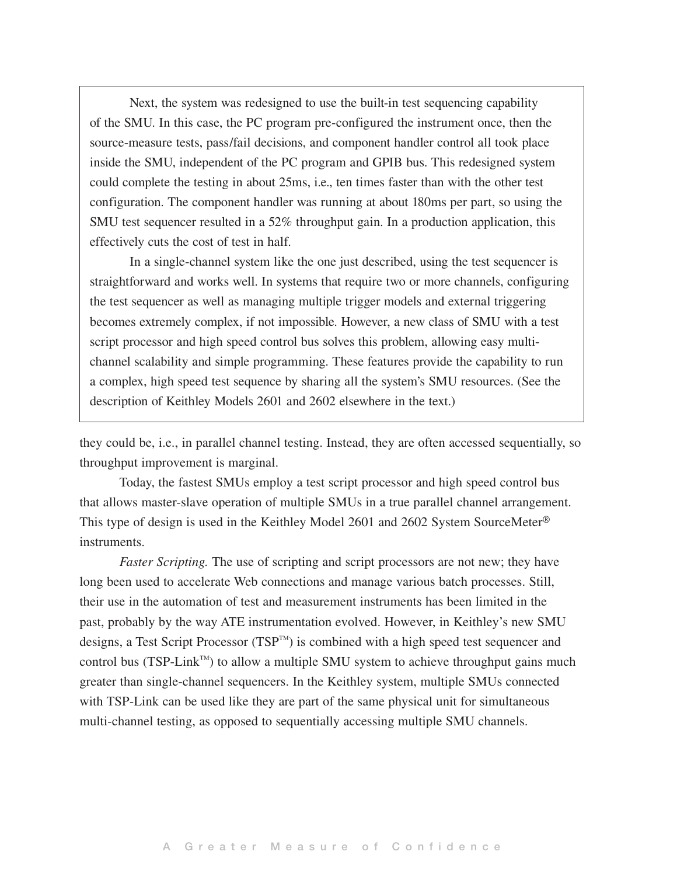Next, the system was redesigned to use the built-in test sequencing capability of the SMU. In this case, the PC program pre-configured the instrument once, then the source-measure tests, pass/fail decisions, and component handler control all took place inside the SMU, independent of the PC program and GPIB bus. This redesigned system could complete the testing in about 25ms, i.e., ten times faster than with the other test configuration. The component handler was running at about 180ms per part, so using the SMU test sequencer resulted in a 52% throughput gain. In a production application, this effectively cuts the cost of test in half.

In a single-channel system like the one just described, using the test sequencer is straightforward and works well. In systems that require two or more channels, configuring the test sequencer as well as managing multiple trigger models and external triggering becomes extremely complex, if not impossible. However, a new class of SMU with a test script processor and high speed control bus solves this problem, allowing easy multichannel scalability and simple programming. These features provide the capability to run a complex, high speed test sequence by sharing all the system's SMU resources. (See the description of Keithley Models 2601 and 2602 elsewhere in the text.)

they could be, i.e., in parallel channel testing. Instead, they are often accessed sequentially, so throughput improvement is marginal.

Today, the fastest SMUs employ a test script processor and high speed control bus that allows master-slave operation of multiple SMUs in a true parallel channel arrangement. This type of design is used in the Keithley Model 2601 and 2602 System SourceMeter® instruments.

*Faster Scripting.* The use of scripting and script processors are not new; they have long been used to accelerate Web connections and manage various batch processes. Still, their use in the automation of test and measurement instruments has been limited in the past, probably by the way ATE instrumentation evolved. However, in Keithley's new SMU designs, a Test Script Processor (TSP™) is combined with a high speed test sequencer and control bus (TSP-Link™) to allow a multiple SMU system to achieve throughput gains much greater than single-channel sequencers. In the Keithley system, multiple SMUs connected with TSP-Link can be used like they are part of the same physical unit for simultaneous multi-channel testing, as opposed to sequentially accessing multiple SMU channels.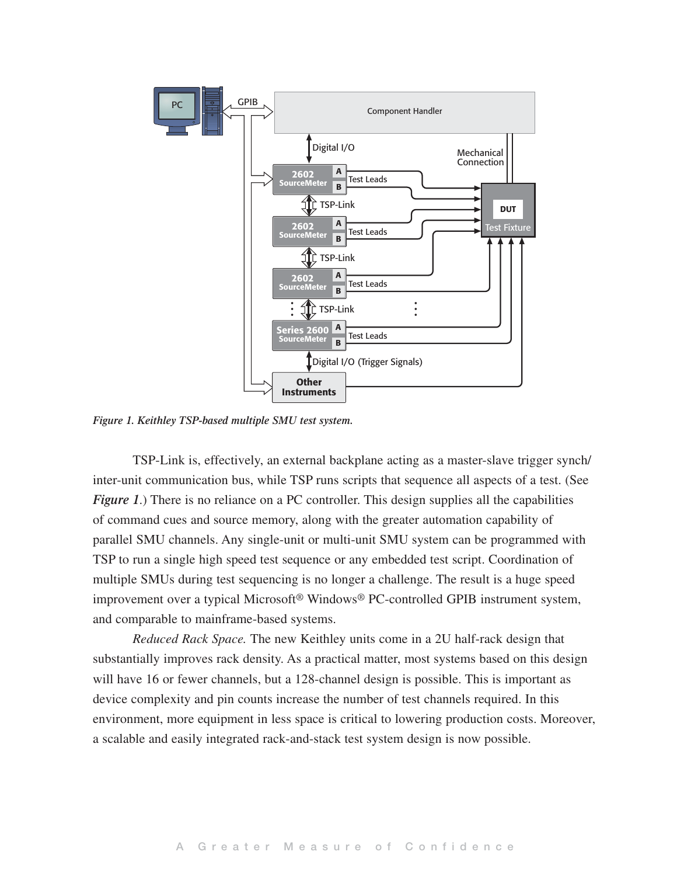

*Figure 1. Keithley TSP-based multiple SMU test system.*

TSP-Link is, effectively, an external backplane acting as a master-slave trigger synch/ inter-unit communication bus, while TSP runs scripts that sequence all aspects of a test. (See *Figure 1.*) There is no reliance on a PC controller. This design supplies all the capabilities of command cues and source memory, along with the greater automation capability of parallel SMU channels. Any single-unit or multi-unit SMU system can be programmed with TSP to run a single high speed test sequence or any embedded test script. Coordination of multiple SMUs during test sequencing is no longer a challenge. The result is a huge speed improvement over a typical Microsoft® Windows® PC-controlled GPIB instrument system, and comparable to mainframe-based systems.

*Reduced Rack Space.* The new Keithley units come in a 2U half-rack design that substantially improves rack density. As a practical matter, most systems based on this design will have 16 or fewer channels, but a 128-channel design is possible. This is important as device complexity and pin counts increase the number of test channels required. In this environment, more equipment in less space is critical to lowering production costs. Moreover, a scalable and easily integrated rack-and-stack test system design is now possible.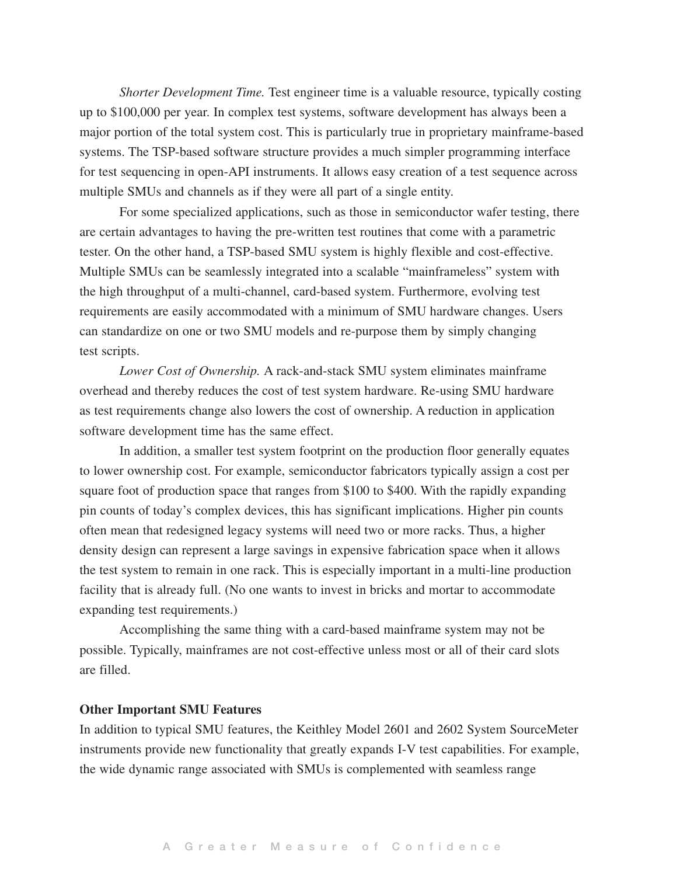*Shorter Development Time.* Test engineer time is a valuable resource, typically costing up to \$100,000 per year. In complex test systems, software development has always been a major portion of the total system cost. This is particularly true in proprietary mainframe-based systems. The TSP-based software structure provides a much simpler programming interface for test sequencing in open-API instruments. It allows easy creation of a test sequence across multiple SMUs and channels as if they were all part of a single entity.

For some specialized applications, such as those in semiconductor wafer testing, there are certain advantages to having the pre-written test routines that come with a parametric tester. On the other hand, a TSP-based SMU system is highly flexible and cost-effective. Multiple SMUs can be seamlessly integrated into a scalable "mainframeless" system with the high throughput of a multi-channel, card-based system. Furthermore, evolving test requirements are easily accommodated with a minimum of SMU hardware changes. Users can standardize on one or two SMU models and re-purpose them by simply changing test scripts.

*Lower Cost of Ownership.* A rack-and-stack SMU system eliminates mainframe overhead and thereby reduces the cost of test system hardware. Re-using SMU hardware as test requirements change also lowers the cost of ownership. A reduction in application software development time has the same effect.

In addition, a smaller test system footprint on the production floor generally equates to lower ownership cost. For example, semiconductor fabricators typically assign a cost per square foot of production space that ranges from \$100 to \$400. With the rapidly expanding pin counts of today's complex devices, this has significant implications. Higher pin counts often mean that redesigned legacy systems will need two or more racks. Thus, a higher density design can represent a large savings in expensive fabrication space when it allows the test system to remain in one rack. This is especially important in a multi-line production facility that is already full. (No one wants to invest in bricks and mortar to accommodate expanding test requirements.)

Accomplishing the same thing with a card-based mainframe system may not be possible. Typically, mainframes are not cost-effective unless most or all of their card slots are filled.

#### **Other Important SMU Features**

In addition to typical SMU features, the Keithley [Model](http://www.keithley.com/products/currentvoltage/?mn=2601) 2601 and [260](http://www.keithley.com/products/currentvoltage)2 System SourceMeter instruments provide new functionality that greatly expands I-V test capabilities. For example, the wide dynamic range associated with SMUs is complemented with seamless range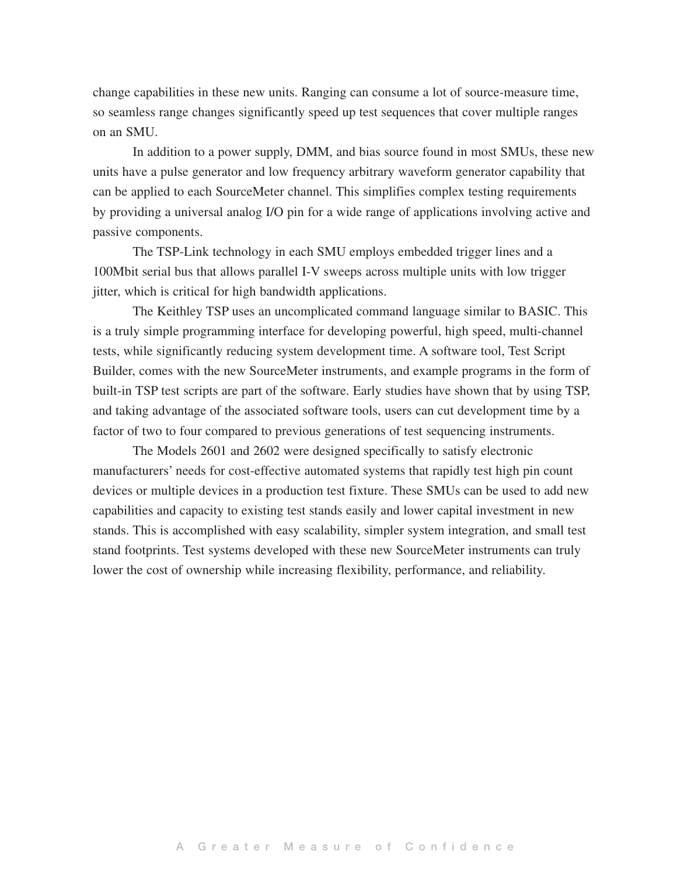change capabilities in these new units. Ranging can consume a lot of source-measure time, so seamless range changes significantly speed up test sequences that cover multiple ranges on an SMU.

In addition to a power supply, DMM, and bias source found in most SMUs, these new units have a pulse generator and low frequency arbitrary waveform generator capability that can be applied to each SourceMeter channel. This simplifies complex testing requirements by providing a universal analog I/O pin for a wide range of applications involving active and passive components.

The TSP-Link technology in each SMU employs embedded trigger lines and a 100Mbit serial bus that allows parallel I-V sweeps across multiple units with low trigger jitter, which is critical for high bandwidth applications.

The Keithley TSP uses an uncomplicated command language similar to BASIC. This is a truly simple programming interface for developing powerful, high speed, multi-channel tests, while significantly reducing system development time. A software tool, Test Script Builder, comes with the new SourceMeter instruments, and example programs in the form of built-in TSP test scripts are part of the software. Early studies have shown that by using TSP, and taking advantage of the associated software tools, users can cut development time by a factor of two to four compared to previous generations of test sequencing instruments.

The Models 2601 and 2602 were designed specifically to satisfy electronic manufacturers' needs for cost-effective automated systems that rapidly test high pin count devices or multiple devices in a production test fixture. These SMUs can be used to add new capabilities and capacity to existing test stands easily and lower capital investment in new stands. This is accomplished with easy scalability, simpler system integration, and small test stand footprints. Test systems developed with these new SourceMeter instruments can truly lower the cost of ownership while increasing flexibility, performance, and reliability.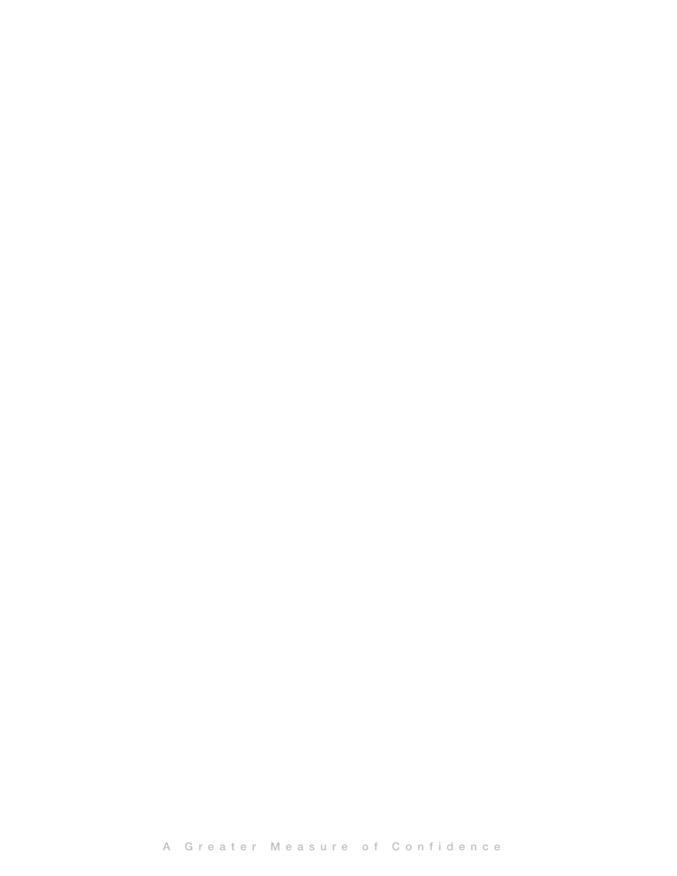A Greater Measure of Confidence